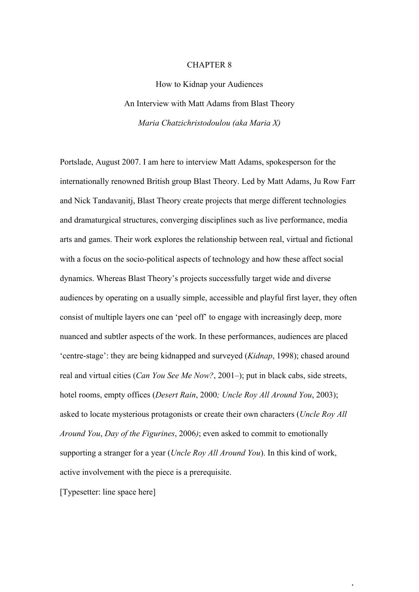## CHAPTER 8

How to Kidnap your Audiences An Interview with Matt Adams from Blast Theory *Maria Chatzichristodoulou (aka Maria X)*

Portslade, August 2007. I am here to interview Matt Adams, spokesperson for the internationally renowned British group Blast Theory. Led by Matt Adams, Ju Row Farr and Nick Tandavanitj, Blast Theory create projects that merge different technologies and dramaturgical structures, converging disciplines such as live performance, media arts and games. Their work explores the relationship between real, virtual and fictional with a focus on the socio-political aspects of technology and how these affect social dynamics. Whereas Blast Theory's projects successfully target wide and diverse audiences by operating on a usually simple, accessible and playful first layer, they often consist of multiple layers one can 'peel off' to engage with increasingly deep, more nuanced and subtler aspects of the work. In these performances, audiences are placed 'centre-stage': they are being kidnapped and surveyed (*Kidnap*, 1998); chased around real and virtual cities (*Can You See Me Now?*, 2001–); put in black cabs, side streets, hotel rooms, empty offices (*Desert Rain*, 2000*; Uncle Roy All Around You*, 2003); asked to locate mysterious protagonists or create their own characters (*Uncle Roy All Around You*, *Day of the Figurines*, 2006*)*; even asked to commit to emotionally supporting a stranger for a year (*Uncle Roy All Around You*). In this kind of work, active involvement with the piece is a prerequisite.

1

[Typesetter: line space here]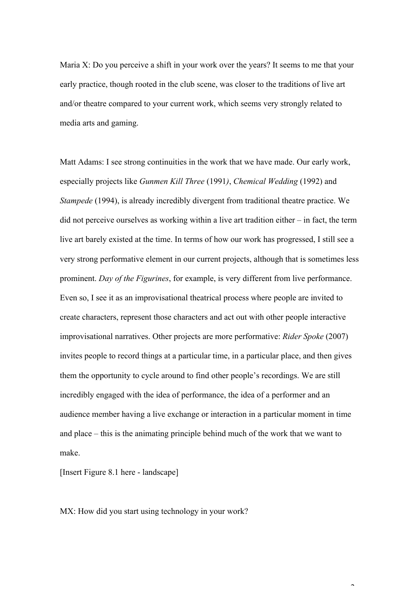Maria  $X$ : Do you perceive a shift in your work over the years? It seems to me that your early practice, though rooted in the club scene, was closer to the traditions of live art and/or theatre compared to your current work, which seems very strongly related to media arts and gaming.

Matt Adams: I see strong continuities in the work that we have made. Our early work, especially projects like *Gunmen Kill Three* (1991*)*, *Chemical Wedding* (1992) and *Stampede* (1994), is already incredibly divergent from traditional theatre practice. We did not perceive ourselves as working within a live art tradition either – in fact, the term live art barely existed at the time. In terms of how our work has progressed, I still see a very strong performative element in our current projects, although that is sometimes less prominent. *Day of the Figurines*, for example, is very different from live performance. Even so, I see it as an improvisational theatrical process where people are invited to create characters, represent those characters and act out with other people interactive improvisational narratives. Other projects are more performative: *Rider Spoke* (2007) invites people to record things at a particular time, in a particular place, and then gives them the opportunity to cycle around to find other people's recordings. We are still incredibly engaged with the idea of performance, the idea of a performer and an audience member having a live exchange or interaction in a particular moment in time and place – this is the animating principle behind much of the work that we want to make.

 $\overline{\phantom{0}}$ 

[Insert Figure 8.1 here - landscape]

MX: How did you start using technology in your work?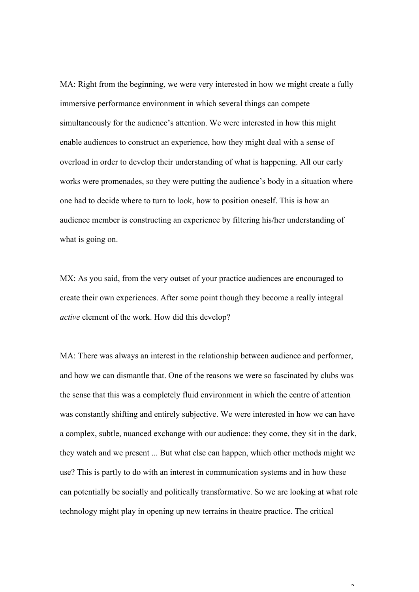MA: Right from the beginning, we were very interested in how we might create a fully immersive performance environment in which several things can compete simultaneously for the audience's attention. We were interested in how this might enable audiences to construct an experience, how they might deal with a sense of overload in order to develop their understanding of what is happening. All our early works were promenades, so they were putting the audience's body in a situation where one had to decide where to turn to look, how to position oneself. This is how an audience member is constructing an experience by filtering his/her understanding of what is going on.

MX: As you said, from the very outset of your practice audiences are encouraged to create their own experiences. After some point though they become a really integral *active* element of the work. How did this develop?

MA: There was always an interest in the relationship between audience and performer, and how we can dismantle that. One of the reasons we were so fascinated by clubs was the sense that this was a completely fluid environment in which the centre of attention was constantly shifting and entirely subjective. We were interested in how we can have a complex, subtle, nuanced exchange with our audience: they come, they sit in the dark, they watch and we present ... But what else can happen, which other methods might we use? This is partly to do with an interest in communication systems and in how these can potentially be socially and politically transformative. So we are looking at what role technology might play in opening up new terrains in theatre practice. The critical

 $\tilde{ }$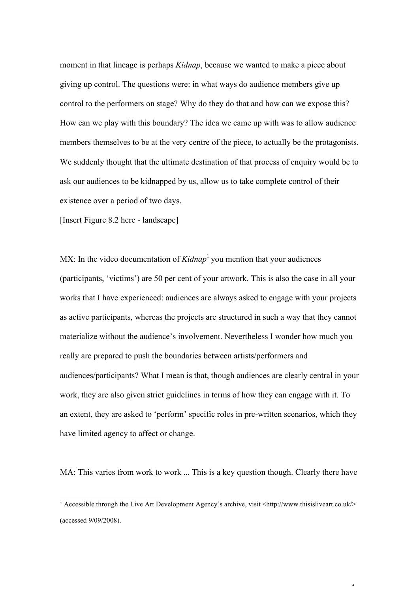moment in that lineage is perhaps *Kidnap*, because we wanted to make a piece about giving up control. The questions were: in what ways do audience members give up control to the performers on stage? Why do they do that and how can we expose this? How can we play with this boundary? The idea we came up with was to allow audience members themselves to be at the very centre of the piece, to actually be the protagonists. We suddenly thought that the ultimate destination of that process of enquiry would be to ask our audiences to be kidnapped by us, allow us to take complete control of their existence over a period of two days.

[Insert Figure 8.2 here - landscape]

MX: In the video documentation of *Kidnap*<sup>1</sup> you mention that your audiences (participants, 'victims') are 50 per cent of your artwork. This is also the case in all your works that I have experienced: audiences are always asked to engage with your projects as active participants, whereas the projects are structured in such a way that they cannot materialize without the audience's involvement. Nevertheless I wonder how much you really are prepared to push the boundaries between artists/performers and audiences/participants? What I mean is that, though audiences are clearly central in your work, they are also given strict guidelines in terms of how they can engage with it. To an extent, they are asked to 'perform' specific roles in pre-written scenarios, which they have limited agency to affect or change.

MA: This varies from work to work ... This is a key question though. Clearly there have

 $\overline{a}$ 

 $\frac{1}{1}$ <sup>1</sup> Accessible through the Live Art Development Agency's archive, visit  $\langle$ http://www.thisisliveart.co.uk/> (accessed 9/09/2008).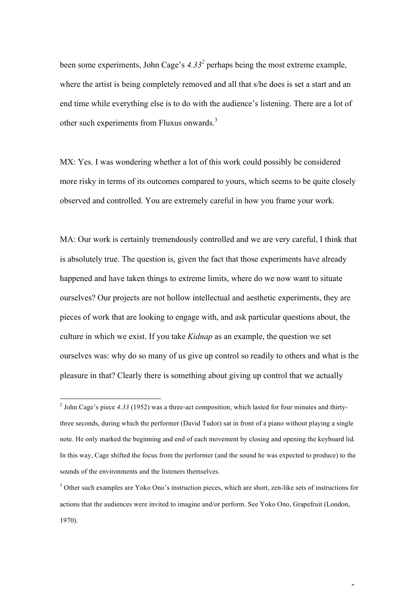been some experiments, John Cage's 4.33<sup>2</sup> perhaps being the most extreme example, where the artist is being completely removed and all that s/he does is set a start and an end time while everything else is to do with the audience's listening. There are a lot of other such experiments from Fluxus onwards.<sup>3</sup>

MX: Yes. I was wondering whether a lot of this work could possibly be considered more risky in terms of its outcomes compared to yours, which seems to be quite closely observed and controlled. You are extremely careful in how you frame your work.

MA: Our work is certainly tremendously controlled and we are very careful, I think that is absolutely true. The question is, given the fact that those experiments have already happened and have taken things to extreme limits, where do we now want to situate ourselves? Our projects are not hollow intellectual and aesthetic experiments, they are pieces of work that are looking to engage with, and ask particular questions about, the culture in which we exist. If you take *Kidnap* as an example, the question we set ourselves was: why do so many of us give up control so readily to others and what is the pleasure in that? Clearly there is something about giving up control that we actually

 $\overline{a}$ 

<sup>&</sup>lt;sup>2</sup> John Cage's piece 4.33 (1952) was a three-act composition, which lasted for four minutes and thirtythree seconds, during which the performer (David Tudor) sat in front of a piano without playing a single note. He only marked the beginning and end of each movement by closing and opening the keyboard lid. In this way, Cage shifted the focus from the performer (and the sound he was expected to produce) to the sounds of the environments and the listeners themselves.

<sup>&</sup>lt;sup>3</sup> Other such examples are Yoko Ono's instruction pieces, which are short, zen-like sets of instructions for actions that the audiences were invited to imagine and/or perform. See Yoko Ono, Grapefruit (London, 1970).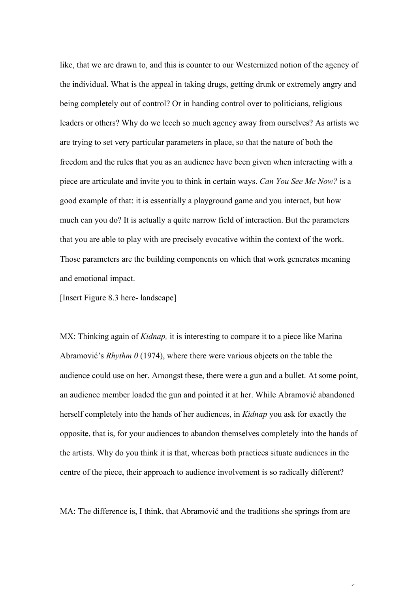like, that we are drawn to, and this is counter to our Westernized notion of the agency of the individual. What is the appeal in taking drugs, getting drunk or extremely angry and being completely out of control? Or in handing control over to politicians, religious leaders or others? Why do we leech so much agency away from ourselves? As artists we are trying to set very particular parameters in place, so that the nature of both the freedom and the rules that you as an audience have been given when interacting with a piece are articulate and invite you to think in certain ways. *Can You See Me Now?* is a good example of that: it is essentially a playground game and you interact, but how much can you do? It is actually a quite narrow field of interaction. But the parameters that you are able to play with are precisely evocative within the context of the work. Those parameters are the building components on which that work generates meaning and emotional impact.

[Insert Figure 8.3 here- landscape]

MX: Thinking again of *Kidnap*, it is interesting to compare it to a piece like Marina Abramović's *Rhythm 0* (1974), where there were various objects on the table the audience could use on her. Amongst these, there were a gun and a bullet. At some point, an audience member loaded the gun and pointed it at her. While Abramović abandoned herself completely into the hands of her audiences, in *Kidnap* you ask for exactly the opposite, that is, for your audiences to abandon themselves completely into the hands of the artists. Why do you think it is that, whereas both practices situate audiences in the centre of the piece, their approach to audience involvement is so radically different?

MA: The difference is, I think, that Abramović and the traditions she springs from are

 $\overline{\phantom{a}}$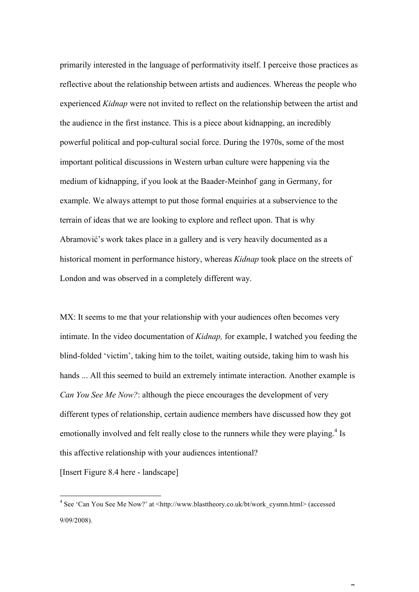primarily interested in the language of performativity itself. I perceive those practices as reflective about the relationship between artists and audiences. Whereas the people who experienced *Kidnap* were not invited to reflect on the relationship between the artist and the audience in the first instance. This is a piece about kidnapping, an incredibly powerful political and pop-cultural social force. During the 1970s, some of the most important political discussions in Western urban culture were happening via the medium of kidnapping, if you look at the Baader-Meinhof gang in Germany, for example. We always attempt to put those formal enquiries at a subservience to the terrain of ideas that we are looking to explore and reflect upon. That is why Abramović's work takes place in a gallery and is very heavily documented as a historical moment in performance history, whereas *Kidnap* took place on the streets of London and was observed in a completely different way.

MX: It seems to me that your relationship with your audiences often becomes very intimate. In the video documentation of *Kidnap,* for example, I watched you feeding the blind-folded 'victim', taking him to the toilet, waiting outside, taking him to wash his hands ... All this seemed to build an extremely intimate interaction. Another example is *Can You See Me Now?*: although the piece encourages the development of very different types of relationship, certain audience members have discussed how they got emotionally involved and felt really close to the runners while they were playing.<sup>4</sup> Is this affective relationship with your audiences intentional?

[Insert Figure 8.4 here - landscape]

 $\overline{a}$ 

 $\frac{1}{4}$ <sup>4</sup> See 'Can You See Me Now?' at <http://www.blasttheory.co.uk/bt/work\_cysmn.html> (accessed 9/09/2008).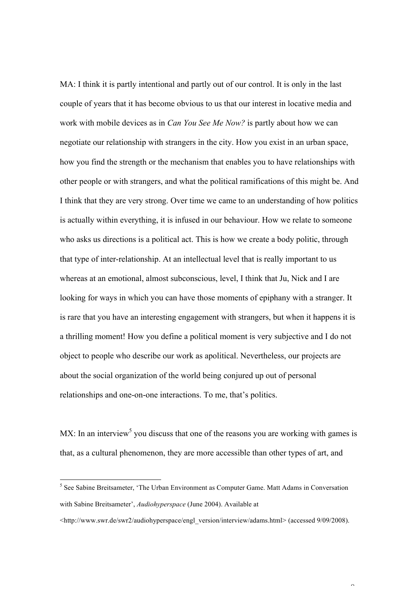MA: I think it is partly intentional and partly out of our control. It is only in the last couple of years that it has become obvious to us that our interest in locative media and work with mobile devices as in *Can You See Me Now?* is partly about how we can negotiate our relationship with strangers in the city. How you exist in an urban space, how you find the strength or the mechanism that enables you to have relationships with other people or with strangers, and what the political ramifications of this might be. And I think that they are very strong. Over time we came to an understanding of how politics is actually within everything, it is infused in our behaviour. How we relate to someone who asks us directions is a political act. This is how we create a body politic, through that type of inter-relationship. At an intellectual level that is really important to us whereas at an emotional, almost subconscious, level, I think that Ju, Nick and I are looking for ways in which you can have those moments of epiphany with a stranger. It is rare that you have an interesting engagement with strangers, but when it happens it is a thrilling moment! How you define a political moment is very subjective and I do not object to people who describe our work as apolitical. Nevertheless, our projects are about the social organization of the world being conjured up out of personal relationships and one-on-one interactions. To me, that's politics.

MX: In an interview<sup>5</sup> you discuss that one of the reasons you are working with games is that, as a cultural phenomenon, they are more accessible than other types of art, and

 $\sim$ 

 $\frac{1}{5}$  $<sup>5</sup>$  See Sabine Breitsameter, 'The Urban Environment as Computer Game. Matt Adams in Conversation</sup> with Sabine Breitsameter', *Audiohyperspace* (June 2004). Available at

<sup>&</sup>lt;http://www.swr.de/swr2/audiohyperspace/engl\_version/interview/adams.html> (accessed 9/09/2008).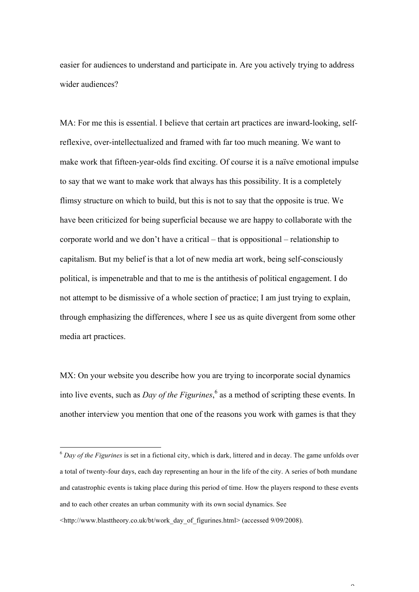easier for audiences to understand and participate in. Are you actively trying to address wider audiences?

MA: For me this is essential. I believe that certain art practices are inward-looking, selfreflexive, over-intellectualized and framed with far too much meaning. We want to make work that fifteen-year-olds find exciting. Of course it is a naïve emotional impulse to say that we want to make work that always has this possibility. It is a completely flimsy structure on which to build, but this is not to say that the opposite is true. We have been criticized for being superficial because we are happy to collaborate with the corporate world and we don't have a critical – that is oppositional – relationship to capitalism. But my belief is that a lot of new media art work, being self-consciously political, is impenetrable and that to me is the antithesis of political engagement. I do not attempt to be dismissive of a whole section of practice; I am just trying to explain, through emphasizing the differences, where I see us as quite divergent from some other media art practices.

MX: On your website you describe how you are trying to incorporate social dynamics into live events, such as *Day of the Figurines*, <sup>6</sup> as a method of scripting these events. In another interview you mention that one of the reasons you work with games is that they

 $\sim$ 

 <sup>6</sup> *Day of the Figurines* is set in a fictional city, which is dark, littered and in decay. The game unfolds over a total of twenty-four days, each day representing an hour in the life of the city. A series of both mundane and catastrophic events is taking place during this period of time. How the players respond to these events and to each other creates an urban community with its own social dynamics. See

<sup>&</sup>lt;http://www.blasttheory.co.uk/bt/work\_day\_of\_figurines.html> (accessed 9/09/2008).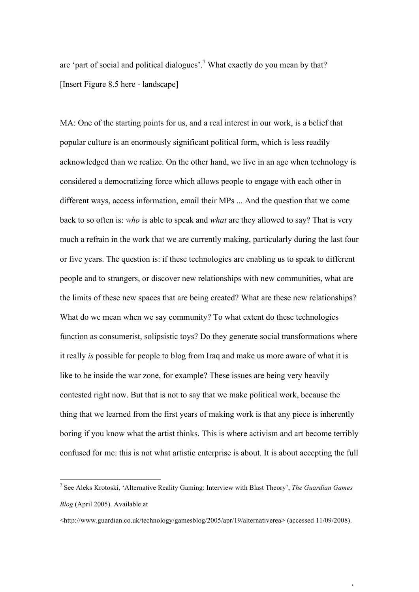are 'part of social and political dialogues'.<sup>7</sup> What exactly do you mean by that? [Insert Figure 8.5 here - landscape]

MA: One of the starting points for us, and a real interest in our work, is a belief that popular culture is an enormously significant political form, which is less readily acknowledged than we realize. On the other hand, we live in an age when technology is considered a democratizing force which allows people to engage with each other in different ways, access information, email their MPs ... And the question that we come back to so often is: *who* is able to speak and *what* are they allowed to say? That is very much a refrain in the work that we are currently making, particularly during the last four or five years. The question is: if these technologies are enabling us to speak to different people and to strangers, or discover new relationships with new communities, what are the limits of these new spaces that are being created? What are these new relationships? What do we mean when we say community? To what extent do these technologies function as consumerist, solipsistic toys? Do they generate social transformations where it really *is* possible for people to blog from Iraq and make us more aware of what it is like to be inside the war zone, for example? These issues are being very heavily contested right now. But that is not to say that we make political work, because the thing that we learned from the first years of making work is that any piece is inherently boring if you know what the artist thinks. This is where activism and art become terribly confused for me: this is not what artistic enterprise is about. It is about accepting the full

 $\frac{1}{7}$  See Aleks Krotoski, 'Alternative Reality Gaming: Interview with Blast Theory', *The Guardian Games Blog* (April 2005). Available at

<sup>&</sup>lt;http://www.guardian.co.uk/technology/gamesblog/2005/apr/19/alternativerea> (accessed 11/09/2008).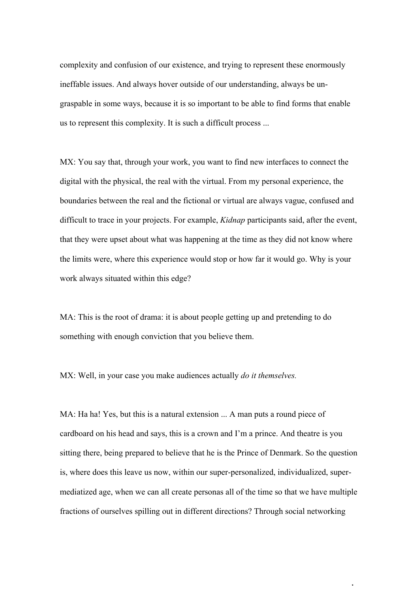complexity and confusion of our existence, and trying to represent these enormously ineffable issues. And always hover outside of our understanding, always be ungraspable in some ways, because it is so important to be able to find forms that enable us to represent this complexity. It is such a difficult process ...

MX: You say that, through your work, you want to find new interfaces to connect the digital with the physical, the real with the virtual. From my personal experience, the boundaries between the real and the fictional or virtual are always vague, confused and difficult to trace in your projects. For example, *Kidnap* participants said, after the event, that they were upset about what was happening at the time as they did not know where the limits were, where this experience would stop or how far it would go. Why is your work always situated within this edge?

MA: This is the root of drama: it is about people getting up and pretending to do something with enough conviction that you believe them.

MX: Well, in your case you make audiences actually *do it themselves.*

MA: Ha ha! Yes, but this is a natural extension ... A man puts a round piece of cardboard on his head and says, this is a crown and I'm a prince. And theatre is you sitting there, being prepared to believe that he is the Prince of Denmark. So the question is, where does this leave us now, within our super-personalized, individualized, supermediatized age, when we can all create personas all of the time so that we have multiple fractions of ourselves spilling out in different directions? Through social networking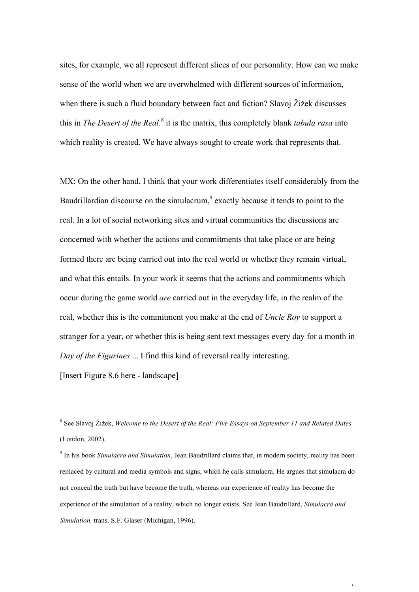sites, for example, we all represent different slices of our personality. How can we make sense of the world when we are overwhelmed with different sources of information, when there is such a fluid boundary between fact and fiction? Slavoj Žižek discusses this in *The Desert of the Real.*<sup>8</sup> it is the matrix, this completely blank *tabula rasa* into which reality is created. We have always sought to create work that represents that.

MX: On the other hand, I think that your work differentiates itself considerably from the Baudrillardian discourse on the simulacrum, $9$  exactly because it tends to point to the real. In a lot of social networking sites and virtual communities the discussions are concerned with whether the actions and commitments that take place or are being formed there are being carried out into the real world or whether they remain virtual, and what this entails. In your work it seems that the actions and commitments which occur during the game world *are* carried out in the everyday life, in the realm of the real, whether this is the commitment you make at the end of *Uncle Roy* to support a stranger for a year, or whether this is being sent text messages every day for a month in *Day of the Figurines* ... I find this kind of reversal really interesting.

[Insert Figure 8.6 here - landscape]

 $\frac{1}{8}$  See Slavoj Žižek, *Welcome to the Desert of the Real: Five Essays on September 11 and Related Dates*  (London, 2002).

<sup>&</sup>lt;sup>9</sup> In his book *Simulacra and Simulation*, Jean Baudrillard claims that, in modern society, reality has been replaced by cultural and media symbols and signs, which he calls simulacra. He argues that simulacra do not conceal the truth but have become the truth, whereas our experience of reality has become the experience of the simulation of a reality, which no longer exists. See Jean Baudrillard, *Simulacra and Simulation,* trans. S.F. Glaser (Michigan, 1996).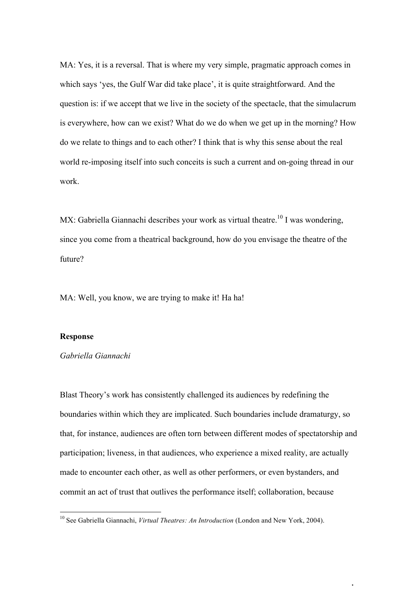MA: Yes, it is a reversal. That is where my very simple, pragmatic approach comes in which says 'yes, the Gulf War did take place', it is quite straightforward. And the question is: if we accept that we live in the society of the spectacle, that the simulacrum is everywhere, how can we exist? What do we do when we get up in the morning? How do we relate to things and to each other? I think that is why this sense about the real world re-imposing itself into such conceits is such a current and on-going thread in our work.

MX: Gabriella Giannachi describes your work as virtual theatre.<sup>10</sup> I was wondering, since you come from a theatrical background, how do you envisage the theatre of the future?

MA: Well, you know, we are trying to make it! Ha ha!

## **Response**

## *Gabriella Giannachi*

Blast Theory's work has consistently challenged its audiences by redefining the boundaries within which they are implicated. Such boundaries include dramaturgy, so that, for instance, audiences are often torn between different modes of spectatorship and participation; liveness, in that audiences, who experience a mixed reality, are actually made to encounter each other, as well as other performers, or even bystanders, and commit an act of trust that outlives the performance itself; collaboration, because

 <sup>10</sup> See Gabriella Giannachi, *Virtual Theatres: An Introduction* (London and New York, 2004).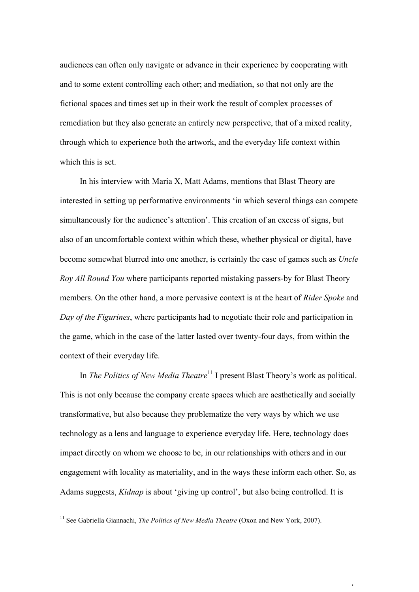audiences can often only navigate or advance in their experience by cooperating with and to some extent controlling each other; and mediation, so that not only are the fictional spaces and times set up in their work the result of complex processes of remediation but they also generate an entirely new perspective, that of a mixed reality, through which to experience both the artwork, and the everyday life context within which this is set.

In his interview with Maria X, Matt Adams, mentions that Blast Theory are interested in setting up performative environments 'in which several things can compete simultaneously for the audience's attention'. This creation of an excess of signs, but also of an uncomfortable context within which these, whether physical or digital, have become somewhat blurred into one another, is certainly the case of games such as *Uncle Roy All Round You* where participants reported mistaking passers-by for Blast Theory members. On the other hand, a more pervasive context is at the heart of *Rider Spoke* and *Day of the Figurines*, where participants had to negotiate their role and participation in the game, which in the case of the latter lasted over twenty-four days, from within the context of their everyday life.

In *The Politics of New Media Theatre*<sup>11</sup> I present Blast Theory's work as political. This is not only because the company create spaces which are aesthetically and socially transformative, but also because they problematize the very ways by which we use technology as a lens and language to experience everyday life. Here, technology does impact directly on whom we choose to be, in our relationships with others and in our engagement with locality as materiality, and in the ways these inform each other. So, as Adams suggests, *Kidnap* is about 'giving up control', but also being controlled. It is

<sup>&</sup>lt;sup>11</sup> See Gabriella Giannachi, *The Politics of New Media Theatre* (Oxon and New York, 2007).